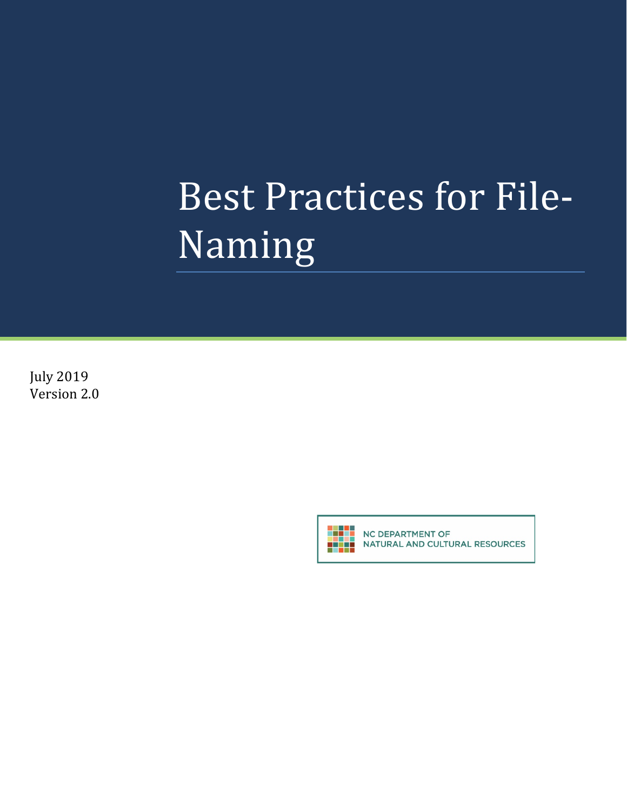# Best Practices for File-Naming

July 2019 Version 2.0



NC DEPARTMENT OF NATURAL AND CULTURAL RESOURCES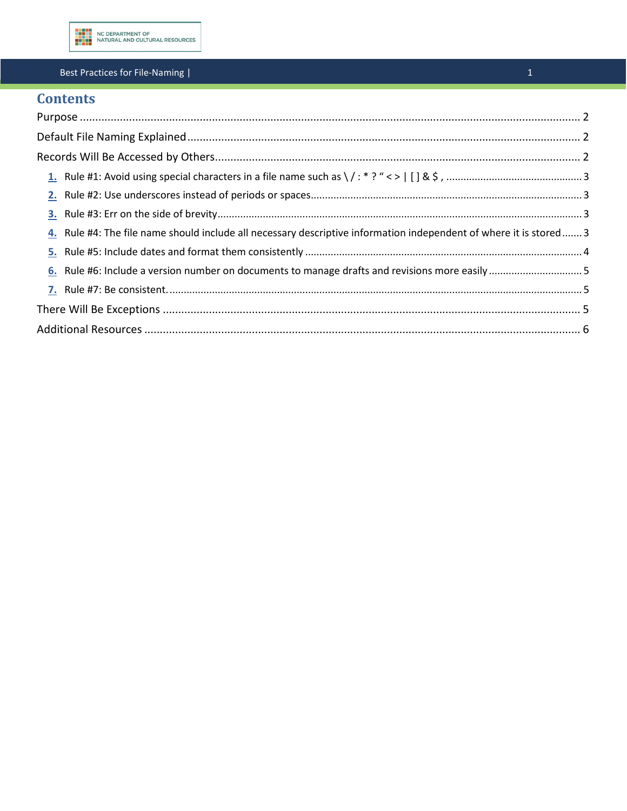

#### Best Practices for File-Naming |

# **Contents**

| 4. Rule #4: The file name should include all necessary descriptive information independent of where it is stored 3 |  |
|--------------------------------------------------------------------------------------------------------------------|--|
|                                                                                                                    |  |
|                                                                                                                    |  |
|                                                                                                                    |  |
|                                                                                                                    |  |
|                                                                                                                    |  |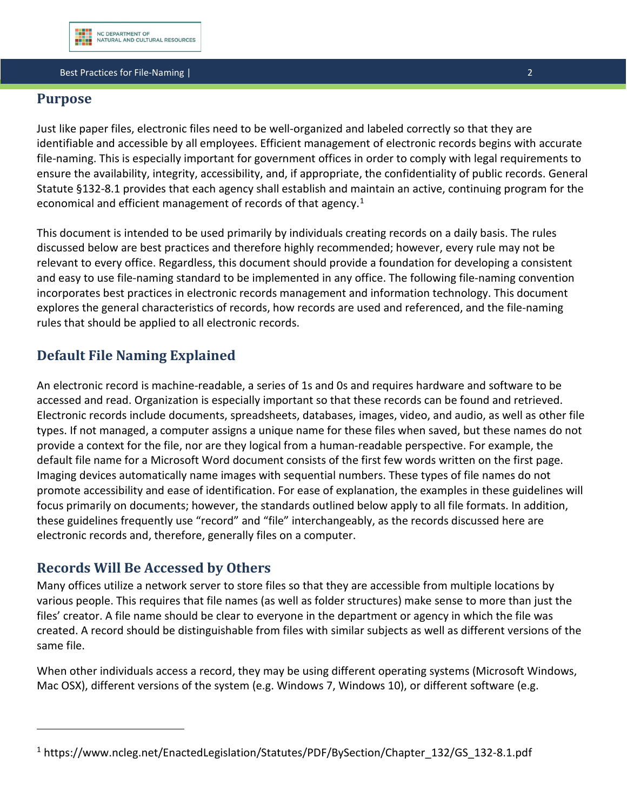#### **Best Practices for File-Naming | 2018 | 2028 | 2028 | 2028 | 2028 | 2028 | 2029 | 2029 | 2029 | 2020**

## <span id="page-2-0"></span>**Purpose**

Just like paper files, electronic files need to be well-organized and labeled correctly so that they are identifiable and accessible by all employees. Efficient management of electronic records begins with accurate file-naming. This is especially important for government offices in order to comply with legal requirements to ensure the availability, integrity, accessibility, and, if appropriate, the confidentiality of public records. General Statute §132-8.1 provides that each agency shall establish and maintain an active, continuing program for the economical and efficient management of records of that agency.<sup>[1](#page-2-3)</sup>

This document is intended to be used primarily by individuals creating records on a daily basis. The rules discussed below are best practices and therefore highly recommended; however, every rule may not be relevant to every office. Regardless, this document should provide a foundation for developing a consistent and easy to use file-naming standard to be implemented in any office. The following file-naming convention incorporates best practices in electronic records management and information technology. This document explores the general characteristics of records, how records are used and referenced, and the file-naming rules that should be applied to all electronic records.

# <span id="page-2-1"></span>**Default File Naming Explained**

An electronic record is machine-readable, a series of 1s and 0s and requires hardware and software to be accessed and read. Organization is especially important so that these records can be found and retrieved. Electronic records include documents, spreadsheets, databases, images, video, and audio, as well as other file types. If not managed, a computer assigns a unique name for these files when saved, but these names do not provide a context for the file, nor are they logical from a human-readable perspective. For example, the default file name for a Microsoft Word document consists of the first few words written on the first page. Imaging devices automatically name images with sequential numbers. These types of file names do not promote accessibility and ease of identification. For ease of explanation, the examples in these guidelines will focus primarily on documents; however, the standards outlined below apply to all file formats. In addition, these guidelines frequently use "record" and "file" interchangeably, as the records discussed here are electronic records and, therefore, generally files on a computer.

## <span id="page-2-2"></span>**Records Will Be Accessed by Others**

l

Many offices utilize a network server to store files so that they are accessible from multiple locations by various people. This requires that file names (as well as folder structures) make sense to more than just the files' creator. A file name should be clear to everyone in the department or agency in which the file was created. A record should be distinguishable from files with similar subjects as well as different versions of the same file.

When other individuals access a record, they may be using different operating systems (Microsoft Windows, Mac OSX), different versions of the system (e.g. Windows 7, Windows 10), or different software (e.g.

<span id="page-2-3"></span><sup>&</sup>lt;sup>1</sup> https://www.ncleg.net/EnactedLegislation/Statutes/PDF/BySection/Chapter\_132/GS\_132-8.1.pdf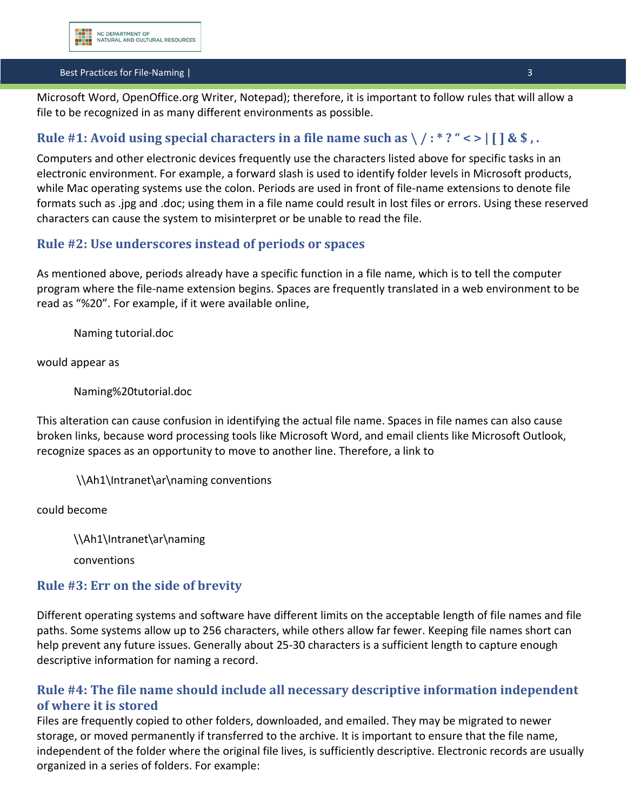#### **Best Practices for File-Naming | 32 Apr 2012 12:33 Apr 2013 12:34 Apr 2013 13:34 Apr 2013 13:34 Apr 2013 13:34**

Microsoft Word, OpenOffice.org Writer, Notepad); therefore, it is important to follow rules that will allow a file to be recognized in as many different environments as possible.

# <span id="page-3-0"></span>Rule #1: Avoid using special characters in a file name such as  $\langle$  /:\*?" < >  $|$  [ ] & \$,.

Computers and other electronic devices frequently use the characters listed above for specific tasks in an electronic environment. For example, a forward slash is used to identify folder levels in Microsoft products, while Mac operating systems use the colon. Periods are used in front of file-name extensions to denote file formats such as .jpg and .doc; using them in a file name could result in lost files or errors. Using these reserved characters can cause the system to misinterpret or be unable to read the file.

## <span id="page-3-1"></span>**Rule #2: Use underscores instead of periods or spaces**

As mentioned above, periods already have a specific function in a file name, which is to tell the computer program where the file-name extension begins. Spaces are frequently translated in a web environment to be read as "%20". For example, if it were available online,

Naming tutorial.doc

would appear as

Naming%20tutorial.doc

This alteration can cause confusion in identifying the actual file name. Spaces in file names can also cause broken links, because word processing tools like Microsoft Word, and email clients like Microsoft Outlook, recognize spaces as an opportunity to move to another line. Therefore, a link to

\\Ah1\Intranet\ar\naming conventions

could become

\\Ah1\Intranet\ar\naming

conventions

#### <span id="page-3-2"></span>**Rule #3: Err on the side of brevity**

Different operating systems and software have different limits on the acceptable length of file names and file paths. Some systems allow up to 256 characters, while others allow far fewer. Keeping file names short can help prevent any future issues. Generally about 25-30 characters is a sufficient length to capture enough descriptive information for naming a record.

## <span id="page-3-3"></span>**Rule #4: The file name should include all necessary descriptive information independent of where it is stored**

Files are frequently copied to other folders, downloaded, and emailed. They may be migrated to newer storage, or moved permanently if transferred to the archive. It is important to ensure that the file name, independent of the folder where the original file lives, is sufficiently descriptive. Electronic records are usually organized in a series of folders. For example: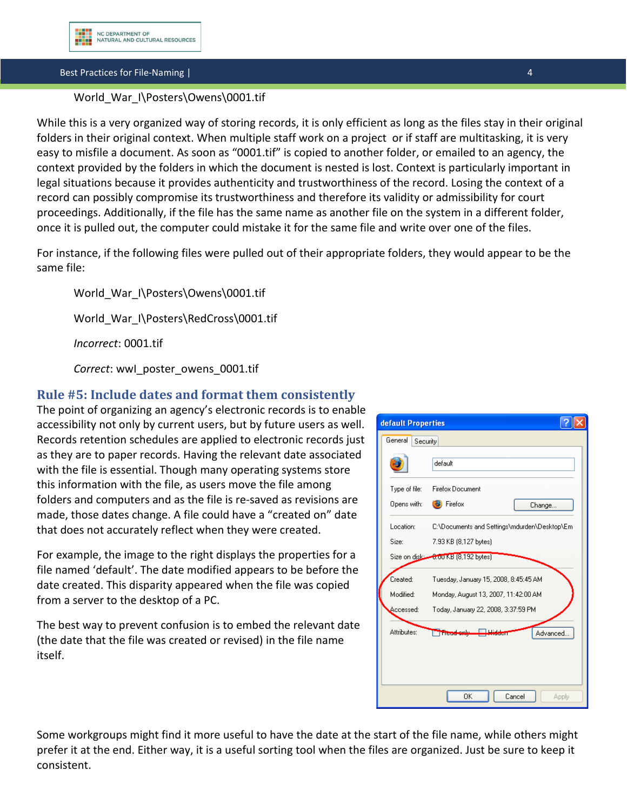Best Practices for File-Naming | 4

#### World War I\Posters\Owens\0001.tif

While this is a very organized way of storing records, it is only efficient as long as the files stay in their original folders in their original context. When multiple staff work on a project or if staff are multitasking, it is very easy to misfile a document. As soon as "0001.tif" is copied to another folder, or emailed to an agency, the context provided by the folders in which the document is nested is lost. Context is particularly important in legal situations because it provides authenticity and trustworthiness of the record. Losing the context of a record can possibly compromise its trustworthiness and therefore its validity or admissibility for court proceedings. Additionally, if the file has the same name as another file on the system in a different folder, once it is pulled out, the computer could mistake it for the same file and write over one of the files.

For instance, if the following files were pulled out of their appropriate folders, they would appear to be the same file:

World\_War\_I\Posters\Owens\0001.tif World War I\Posters\RedCross\0001.tif *Incorrect*: 0001.tif *Correct*: wwI\_poster\_owens\_0001.tif

## <span id="page-4-0"></span>**Rule #5: Include dates and format them consistently**

The point of organizing an agency's electronic records is to enable accessibility not only by current users, but by future users as well. Records retention schedules are applied to electronic records just as they are to paper records. Having the relevant date associated with the file is essential. Though many operating systems store this information with the file, as users move the file among folders and computers and as the file is re-saved as revisions are made, those dates change. A file could have a "created on" date that does not accurately reflect when they were created.

For example, the image to the right displays the properties for a file named 'default'. The date modified appears to be before the date created. This disparity appeared when the file was copied from a server to the desktop of a PC.

The best way to prevent confusion is to embed the relevant date (the date that the file was created or revised) in the file name itself.

default Properties <u>alx</u> General Security default Type of file: Firefox Document Opens with: **B** Firefox Change. Location: C:\Documents and Settings\mdurden\Desktop\Em-7.93 KB (8,127 bytes) Size: Size on disk: 6.00 KB [8,192 bytes] Created: Tuesday, January 15, 2008, 8:45:45 AM Modified: Monday, August 13, 2007, 11:42:00 AM Accessed: Today, January 22, 2008, 3:37:59 PM Theodoniy Hidd Attributes: Advanced... 0K Cancel Apply

Some workgroups might find it more useful to have the date at the start of the file name, while others might prefer it at the end. Either way, it is a useful sorting tool when the files are organized. Just be sure to keep it consistent.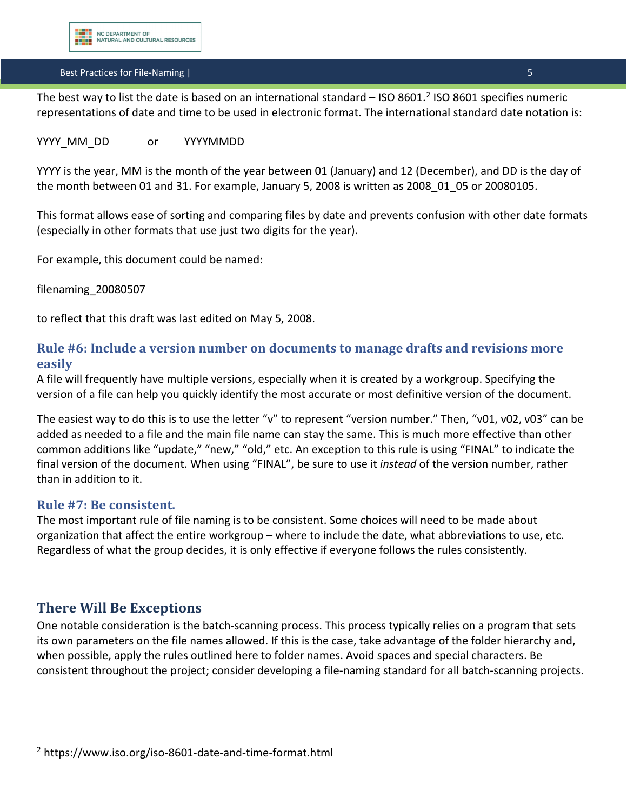#### **Best Practices for File-Naming | 5 April 2018 19:30 19:30 19:30 19:30 19:30 19:30 19:30 19:30 19:30 19:30 19:3**

The best way to list the date is based on an international standard – ISO 8601.<sup>[2](#page-5-3)</sup> ISO 8601 specifies numeric representations of date and time to be used in electronic format. The international standard date notation is:

#### YYYY MM\_DD or YYYYMMDD

YYYY is the year, MM is the month of the year between 01 (January) and 12 (December), and DD is the day of the month between 01 and 31. For example, January 5, 2008 is written as 2008\_01\_05 or 20080105.

This format allows ease of sorting and comparing files by date and prevents confusion with other date formats (especially in other formats that use just two digits for the year).

For example, this document could be named:

filenaming\_20080507

to reflect that this draft was last edited on May 5, 2008.

## <span id="page-5-0"></span>**Rule #6: Include a version number on documents to manage drafts and revisions more easily**

A file will frequently have multiple versions, especially when it is created by a workgroup. Specifying the version of a file can help you quickly identify the most accurate or most definitive version of the document.

The easiest way to do this is to use the letter "v" to represent "version number." Then, "v01, v02, v03" can be added as needed to a file and the main file name can stay the same. This is much more effective than other common additions like "update," "new," "old," etc. An exception to this rule is using "FINAL" to indicate the final version of the document. When using "FINAL", be sure to use it *instead* of the version number, rather than in addition to it.

#### <span id="page-5-1"></span>**Rule #7: Be consistent.**

The most important rule of file naming is to be consistent. Some choices will need to be made about organization that affect the entire workgroup – where to include the date, what abbreviations to use, etc. Regardless of what the group decides, it is only effective if everyone follows the rules consistently.

#### <span id="page-5-2"></span>**There Will Be Exceptions**

l

One notable consideration is the batch-scanning process. This process typically relies on a program that sets its own parameters on the file names allowed. If this is the case, take advantage of the folder hierarchy and, when possible, apply the rules outlined here to folder names. Avoid spaces and special characters. Be consistent throughout the project; consider developing a file-naming standard for all batch-scanning projects.

<span id="page-5-3"></span><sup>2</sup> https://www.iso.org/iso-8601-date-and-time-format.html